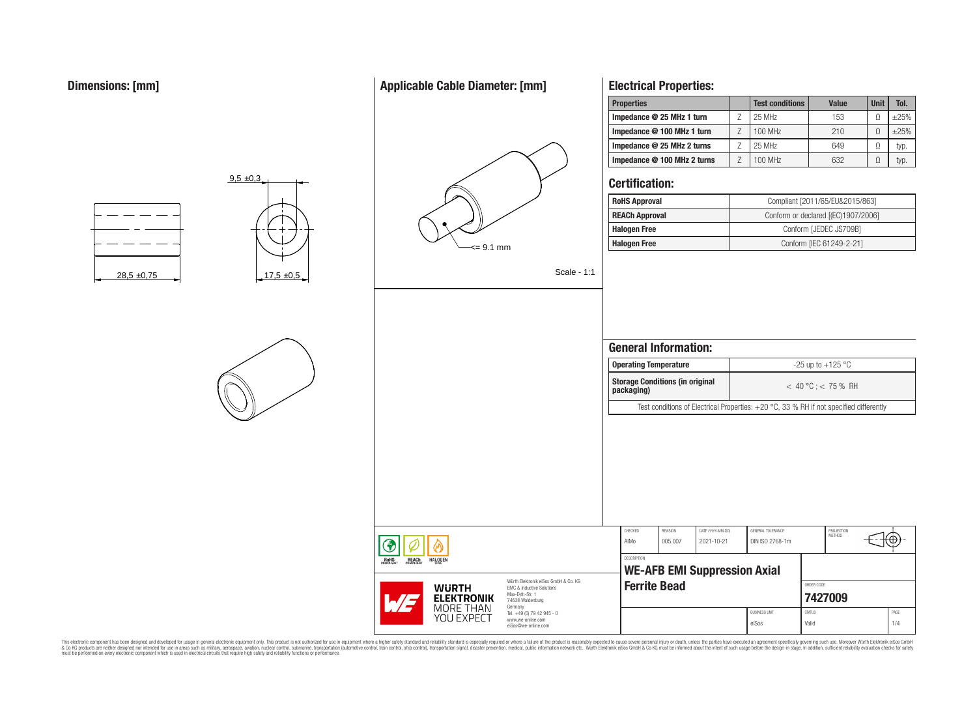# **Applicable Cable Diameter: [mm]**



# **Electrical Properties:**

| <b>Properties</b>           | <b>Test conditions</b> | <b>Value</b> | <b>Unit</b> | Tol.   |
|-----------------------------|------------------------|--------------|-------------|--------|
| Impedance @ 25 MHz 1 turn   | 25 MHz                 | 153          | Ω           | $+25%$ |
| Impedance @ 100 MHz 1 turn  | 100 MHz                | 210          |             | $+25%$ |
| Impedance @ 25 MHz 2 turns  | 25 MHz                 | 649          | Ω           | typ.   |
| Impedance @ 100 MHz 2 turns | 100 MHz                | 632          | Ω           | typ.   |

# **Certification:**

| <b>RoHS Approval</b>  | Compliant [2011/65/EU&2015/863]     |
|-----------------------|-------------------------------------|
| <b>REACh Approval</b> | Conform or declared [(EC)1907/2006] |
| <b>Halogen Free</b>   | Conform [JEDEC JS709B]              |
| <b>Halogen Free</b>   | Conform [IEC 61249-2-21]            |

Scale - 1:1

|                                                                                                          |                    | <b>Operating Temperature</b>           |                                 |                                                                                          | -25 up to $+125$ °C |                       |  |
|----------------------------------------------------------------------------------------------------------|--------------------|----------------------------------------|---------------------------------|------------------------------------------------------------------------------------------|---------------------|-----------------------|--|
|                                                                                                          | packaging)         | <b>Storage Conditions (in original</b> |                                 |                                                                                          |                     | $<$ 40 °C : < 75 % RH |  |
|                                                                                                          |                    |                                        |                                 | Test conditions of Electrical Properties: $+20$ °C, 33 % RH if not specified differently |                     |                       |  |
|                                                                                                          |                    |                                        |                                 |                                                                                          |                     |                       |  |
|                                                                                                          | CHECKED            | <b>REVISION</b>                        |                                 |                                                                                          |                     | PROJECTION            |  |
|                                                                                                          |                    |                                        |                                 |                                                                                          |                     |                       |  |
|                                                                                                          | AIMo               | 005.007                                | DATE (YYYY-MM-DD)<br>2021-10-21 | GENERAL TOLERANCE<br>DIN ISO 2768-1m                                                     |                     | METHOD                |  |
|                                                                                                          | <b>DESCRIPTION</b> |                                        |                                 | <b>WE-AFB EMI Suppression Axial</b>                                                      |                     |                       |  |
| Würth Elektronik eiSos GmbH & Co. KG<br>EMC & Inductive Solutions<br>Max-Eyth-Str. 1<br>74638 Waldenburg |                    | <b>Ferrite Bead</b>                    |                                 |                                                                                          | ORDER CODE          | 7427009               |  |



 $9.5 \pm 0.3$ 



This electronic component has been designed and developed for usage in general electronic equipment only. This product is not authorized for subserved requipment where a higher selection equipment where a higher selection

**ROHS** 

**REACH**<br>COMPLIANT

**HALOGEN** 

**WURTH ELEKTRONIK** MORE THAN **YOU EXPECT** 

Max-Eyth-Str. 1 74638 Waldenburg Germany Tel. +49 (0) 79 42 945 www.we-online.com eiSos@we-online.com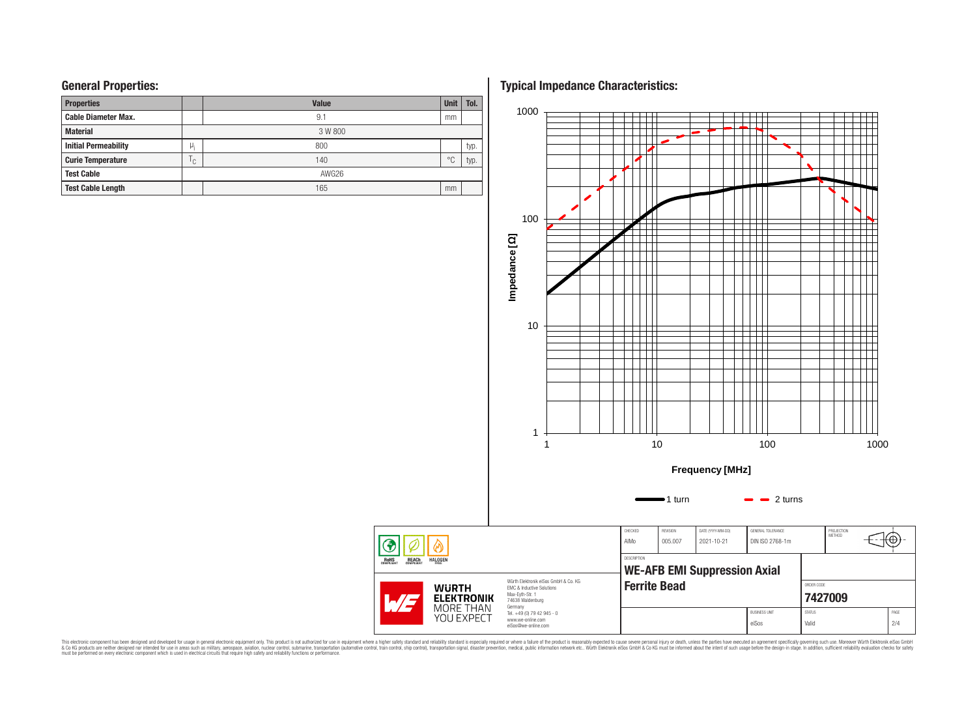# **General Properties:**

| <b>Properties</b>           |              | <b>Value</b> | <b>Unit</b>    | Tol. |
|-----------------------------|--------------|--------------|----------------|------|
| <b>Cable Diameter Max.</b>  |              | 9.1          | mm             |      |
| <b>Material</b>             |              | 3 W 800      |                |      |
| <b>Initial Permeability</b> | μ,           | 800          |                | typ. |
| <b>Curie Temperature</b>    | $\cap$<br>ι. | 140          | $\circ$ $\cap$ | typ. |
| <b>Test Cable</b>           |              | AWG26        |                |      |
| <b>Test Cable Length</b>    |              | 165          | mm             |      |

**Typical Impedance Characteristics:**



This electronic component has been designed and developed for usage in general electronic equipment only. This product is not authorized for subserved requipment where a higher selection equipment where a higher selection

◈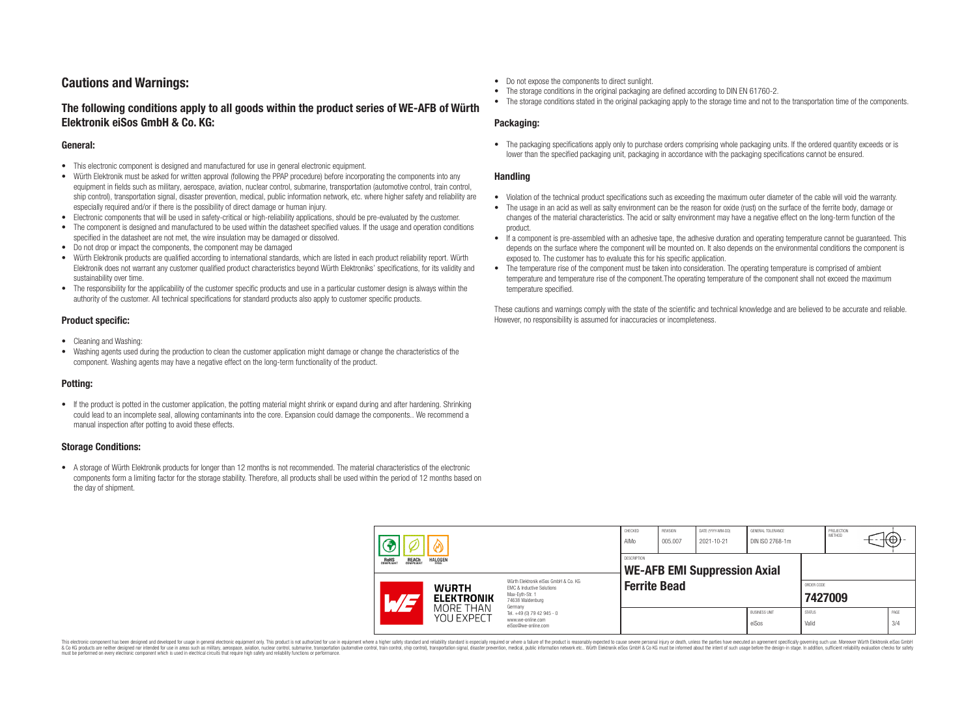# **Cautions and Warnings:**

# **The following conditions apply to all goods within the product series of WE-AFB of Würth Elektronik eiSos GmbH & Co. KG:**

#### **General:**

- This electronic component is designed and manufactured for use in general electronic equipment.
- Würth Elektronik must be asked for written approval (following the PPAP procedure) before incorporating the components into any equipment in fields such as military, aerospace, aviation, nuclear control, submarine, transportation (automotive control, train control, ship control), transportation signal, disaster prevention, medical, public information network, etc. where higher safety and reliability are especially required and/or if there is the possibility of direct damage or human injury.
- Electronic components that will be used in safety-critical or high-reliability applications, should be pre-evaluated by the customer.
- The component is designed and manufactured to be used within the datasheet specified values. If the usage and operation conditions specified in the datasheet are not met, the wire insulation may be damaged or dissolved.
- Do not drop or impact the components, the component may be damaged
- Würth Elektronik products are qualified according to international standards, which are listed in each product reliability report. Würth Elektronik does not warrant any customer qualified product characteristics beyond Würth Elektroniks' specifications, for its validity and sustainability over time.
- The responsibility for the applicability of the customer specific products and use in a particular customer design is always within the authority of the customer. All technical specifications for standard products also apply to customer specific products.

## **Product specific:**

- Cleaning and Washing:
- Washing agents used during the production to clean the customer application might damage or change the characteristics of the component. Washing agents may have a negative effect on the long-term functionality of the product.

## **Potting:**

• If the product is potted in the customer application, the potting material might shrink or expand during and after hardening. Shrinking could lead to an incomplete seal, allowing contaminants into the core. Expansion could damage the components.. We recommend a manual inspection after potting to avoid these effects.

## **Storage Conditions:**

• A storage of Würth Elektronik products for longer than 12 months is not recommended. The material characteristics of the electronic components form a limiting factor for the storage stability. Therefore, all products shall be used within the period of 12 months based on the day of shipment.

- Do not expose the components to direct sunlight.
- The storage conditions in the original packaging are defined according to DIN EN 61760-2.
- The storage conditions stated in the original packaging apply to the storage time and not to the transportation time of the components.

### **Packaging:**

• The packaging specifications apply only to purchase orders comprising whole packaging units. If the ordered quantity exceeds or is lower than the specified packaging unit, packaging in accordance with the packaging specifications cannot be ensured.

### **Handling**

- Violation of the technical product specifications such as exceeding the maximum outer diameter of the cable will void the warranty.
- The usage in an acid as well as salty environment can be the reason for oxide (rust) on the surface of the ferrite body, damage or changes of the material characteristics. The acid or salty environment may have a negative effect on the long-term function of the product.
- If a component is pre-assembled with an adhesive tape, the adhesive duration and operating temperature cannot be guaranteed. This depends on the surface where the component will be mounted on. It also depends on the environmental conditions the component is exposed to. The customer has to evaluate this for his specific application.
- The temperature rise of the component must be taken into consideration. The operating temperature is comprised of ambient temperature and temperature rise of the component.The operating temperature of the component shall not exceed the maximum temperature specified.

These cautions and warnings comply with the state of the scientific and technical knowledge and are believed to be accurate and reliable. However, no responsibility is assumed for inaccuracies or incompleteness.

| <b>REACH</b><br>COMPLIANT<br><b>HALOGEN</b><br>ROHS<br>COMPLIANT |                                                                                                                                                                                       | CHECKED<br>AIMo                                    | <b>REVISION</b><br>005.007                                                        | DATE (YYYY-MM-DD)<br>2021-10-21 | GENERAL TOLERANCE<br>DIN ISO 2768-1m |  | PROJECTION<br>METHOD          | +⊕,                    |  |             |
|------------------------------------------------------------------|---------------------------------------------------------------------------------------------------------------------------------------------------------------------------------------|----------------------------------------------------|-----------------------------------------------------------------------------------|---------------------------------|--------------------------------------|--|-------------------------------|------------------------|--|-------------|
|                                                                  |                                                                                                                                                                                       | DESCRIPTION<br><b>WE-AFB EMI Suppression Axial</b> |                                                                                   |                                 |                                      |  |                               |                        |  |             |
|                                                                  | Würth Elektronik eiSos GmbH & Co. KG<br><b>WURTH</b><br><b>EMC &amp; Inductive Solutions</b><br>Max-Eyth-Str. 1<br><b>ELEKTRONIK</b><br>$\mathcal{A}/\mathcal{A}$<br>74638 Waldenburg |                                                    | <b>Ferrite Bead</b>                                                               |                                 |                                      |  | ORDER CODE                    | 7427009                |  |             |
|                                                                  |                                                                                                                                                                                       | MORE THAN<br>YOU EXPECT                            | Germany<br>Tel. +49 (0) 79 42 945 - 0<br>www.we-online.com<br>eiSos@we-online.com |                                 |                                      |  | <b>BUSINESS UNIT</b><br>eiSos | <b>STATUS</b><br>Valid |  | PAGE<br>3/4 |

This electronic component has been designed and developed for usage in general electronic equipment only. This product is not authorized for use in equipment where a higher safety standard and reliability standard si espec & Ook product a label and the membed of the seasuch as marked and as which such a membed and the such assume that income in the seasuch and the simulation and the such assume that include to the such a membed and the such